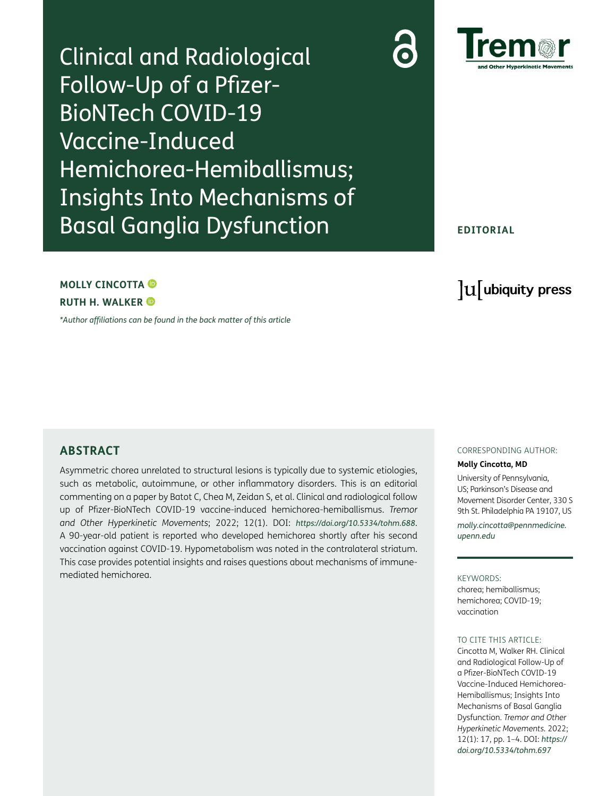Clinical and Radiological Follow-Up of a Pfizer-BioNTech COVID-19 Vaccine-Induced Hemichorea-Hemiballismus; Insights Into Mechanisms of Basal Ganglia Dysfunction



### **EDITORIAL**

### **MOLLY CINCOTTA**

**RUTH H. WALKER**

*[\\*Author affiliations can be found in the back matter of this article](#page-2-0)*

# lu ubiquity press

### **ABSTRACT**

Asymmetric chorea unrelated to structural lesions is typically due to systemic etiologies, such as metabolic, autoimmune, or other inflammatory disorders. This is an editorial commenting on a paper by Batot C, Chea M, Zeidan S, et al. Clinical and radiological follow up of Pfizer-BioNTech COVID-19 vaccine-induced hemichorea-hemiballismus. *Tremor and Other Hyperkinetic Movements*; 2022; 12(1). DOI: *<https://doi.org/10.5334/tohm.688>*. A 90-year-old patient is reported who developed hemichorea shortly after his second vaccination against COVID-19. Hypometabolism was noted in the contralateral striatum. This case provides potential insights and raises questions about mechanisms of immunemediated hemichorea.

#### CORRESPONDING AUTHOR:

#### **Molly Cincotta, MD**

University of Pennsylvania, US; Parkinson's Disease and Movement Disorder Center, 330 S 9th St. Philadelphia PA 19107, US

*[molly.cincotta@pennmedicine.](mailto:molly.cincotta@pennmedicine.upenn.edu) [upenn.edu](mailto:molly.cincotta@pennmedicine.upenn.edu)*

#### KEYWORDS:

chorea; hemiballismus; hemichorea; COVID-19; vaccination

#### TO CITE THIS ARTICLE:

Cincotta M, Walker RH. Clinical and Radiological Follow-Up of a Pfizer-BioNTech COVID-19 Vaccine-Induced Hemichorea-Hemiballismus; Insights Into Mechanisms of Basal Ganglia Dysfunction. *Tremor and Other Hyperkinetic Movements.* 2022; 12(1): 17, pp. 1–4. DOI: *[https://](https://doi.org/10.5334/tohm.697) [doi.org/10.5334/tohm.697](https://doi.org/10.5334/tohm.697)*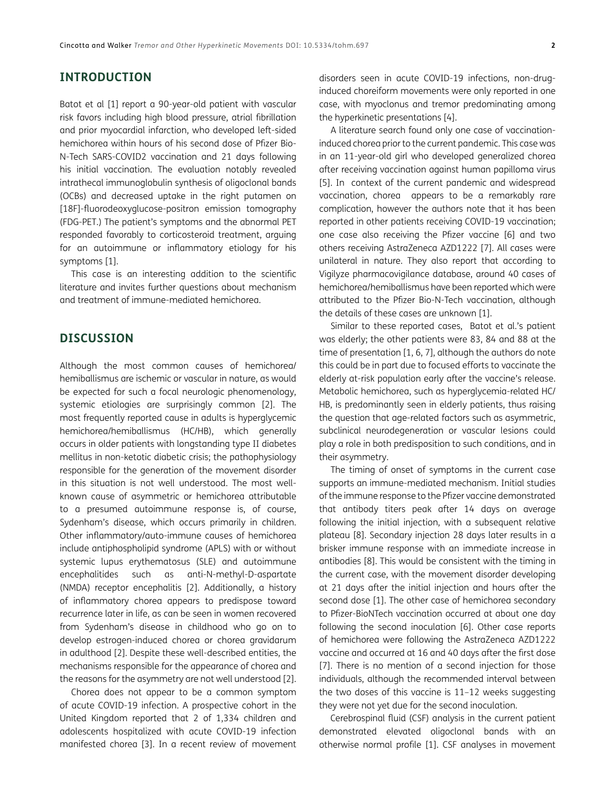# **INTRODUCTION**

Batot et al [[1](#page-2-1)] report a 90-year-old patient with vascular risk favors including high blood pressure, atrial fibrillation and prior myocardial infarction, who developed left-sided hemichorea within hours of his second dose of Pfizer Bio-N-Tech SARS-COVID2 vaccination and 21 days following his initial vaccination. The evaluation notably revealed intrathecal immunoglobulin synthesis of oligoclonal bands (OCBs) and decreased uptake in the right putamen on [18F]-fluorodeoxyglucose-positron emission tomography (FDG-PET.) The patient's symptoms and the abnormal PET responded favorably to corticosteroid treatment, arguing for an autoimmune or inflammatory etiology for his symptoms [\[1\]](#page-2-1).

This case is an interesting addition to the scientific literature and invites further questions about mechanism and treatment of immune-mediated hemichorea.

# **DISCUSSION**

Although the most common causes of hemichorea/ hemiballismus are ischemic or vascular in nature, as would be expected for such a focal neurologic phenomenology, systemic etiologies are surprisingly common [\[2](#page-2-2)]. The most frequently reported cause in adults is hyperglycemic hemichorea/hemiballismus (HC/HB), which generally occurs in older patients with longstanding type II diabetes mellitus in non-ketotic diabetic crisis; the pathophysiology responsible for the generation of the movement disorder in this situation is not well understood. The most wellknown cause of asymmetric or hemichorea attributable to a presumed autoimmune response is, of course, Sydenham's disease, which occurs primarily in children. Other inflammatory/auto-immune causes of hemichorea include antiphospholipid syndrome (APLS) with or without systemic lupus erythematosus (SLE) and autoimmune encephalitides such as anti-N-methyl-D-aspartate (NMDA) receptor encephalitis [\[2](#page-2-2)]. Additionally, a history of inflammatory chorea appears to predispose toward recurrence later in life, as can be seen in women recovered from Sydenham's disease in childhood who go on to develop estrogen-induced chorea or chorea gravidarum in adulthood [\[2](#page-2-2)]. Despite these well-described entities, the mechanisms responsible for the appearance of chorea and the reasons for the asymmetry are not well understood [\[2\]](#page-2-2).

Chorea does not appear to be a common symptom of acute COVID-19 infection. A prospective cohort in the United Kingdom reported that 2 of 1,334 children and adolescents hospitalized with acute COVID-19 infection manifested chorea [[3\]](#page-2-3). In a recent review of movement disorders seen in acute COVID-19 infections, non-druginduced choreiform movements were only reported in one case, with myoclonus and tremor predominating among the hyperkinetic presentations [4].

A literature search found only one case of vaccinationinduced chorea prior to the current pandemic. This case was in an 11-year-old girl who developed generalized chorea after receiving vaccination against human papilloma virus [\[5](#page-2-4)]. In context of the current pandemic and widespread vaccination, chorea appears to be a remarkably rare complication, however the authors note that it has been reported in other patients receiving COVID-19 vaccination; one case also receiving the Pfizer vaccine [\[6](#page-2-5)] and two others receiving AstraZeneca AZD1222 [7]. All cases were unilateral in nature. They also report that according to Vigilyze pharmacovigilance database, around 40 cases of hemichorea/hemiballismus have been reported which were attributed to the Pfizer Bio-N-Tech vaccination, although the details of these cases are unknown [[1](#page-2-1)].

Similar to these reported cases, Batot et al.'s patient was elderly; the other patients were 83, 84 and 88 at the time of presentation [[1,](#page-2-1) [6](#page-2-5), 7], although the authors do note this could be in part due to focused efforts to vaccinate the elderly at-risk population early after the vaccine's release. Metabolic hemichorea, such as hyperglycemia-related HC/ HB, is predominantly seen in elderly patients, thus raising the question that age-related factors such as asymmetric, subclinical neurodegeneration or vascular lesions could play a role in both predisposition to such conditions, and in their asymmetry.

The timing of onset of symptoms in the current case supports an immune-mediated mechanism. Initial studies of the immune response to the Pfizer vaccine demonstrated that antibody titers peak after 14 days on average following the initial injection, with a subsequent relative plateau [\[8](#page-3-0)]. Secondary injection 28 days later results in a brisker immune response with an immediate increase in antibodies [[8\]](#page-3-0). This would be consistent with the timing in the current case, with the movement disorder developing at 21 days after the initial injection and hours after the second dose [[1\]](#page-2-1). The other case of hemichorea secondary to Pfizer-BioNTech vaccination occurred at about one day following the second inoculation [\[6\]](#page-2-5). Other case reports of hemichorea were following the AstraZeneca AZD1222 vaccine and occurred at 16 and 40 days after the first dose [7]. There is no mention of a second injection for those individuals, although the recommended interval between the two doses of this vaccine is 11–12 weeks suggesting they were not yet due for the second inoculation.

Cerebrospinal fluid (CSF) analysis in the current patient demonstrated elevated oligoclonal bands with an otherwise normal profile [[1](#page-2-1)]. CSF analyses in movement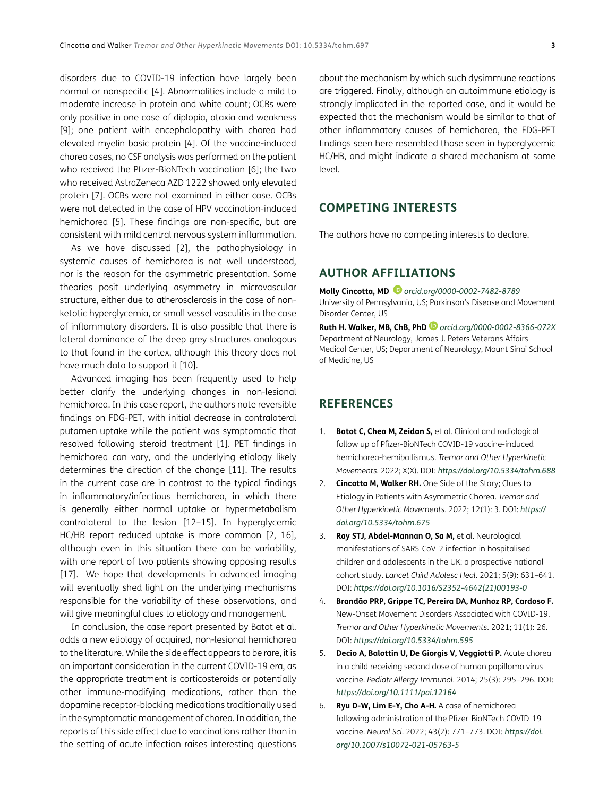disorders due to COVID-19 infection have largely been normal or nonspecific [4]. Abnormalities include a mild to moderate increase in protein and white count; OCBs were only positive in one case of diplopia, ataxia and weakness [9]; one patient with encephalopathy with chorea had elevated myelin basic protein [4]. Of the vaccine-induced chorea cases, no CSF analysis was performed on the patient who received the Pfizer-BioNTech vaccination [[6\]](#page-2-5); the two who received AstraZeneca AZD 1222 showed only elevated protein [7]. OCBs were not examined in either case. OCBs were not detected in the case of HPV vaccination-induced hemichorea [[5\]](#page-2-4). These findings are non-specific, but are consistent with mild central nervous system inflammation.

As we have discussed [[2\]](#page-2-2), the pathophysiology in systemic causes of hemichorea is not well understood, nor is the reason for the asymmetric presentation. Some theories posit underlying asymmetry in microvascular structure, either due to atherosclerosis in the case of nonketotic hyperglycemia, or small vessel vasculitis in the case of inflammatory disorders. It is also possible that there is lateral dominance of the deep grey structures analogous to that found in the cortex, although this theory does not have much data to support it [[10\]](#page-3-1).

Advanced imaging has been frequently used to help better clarify the underlying changes in non-lesional hemichorea. In this case report, the authors note reversible findings on FDG-PET, with initial decrease in contralateral putamen uptake while the patient was symptomatic that resolved following steroid treatment [\[1\]](#page-2-1). PET findings in hemichorea can vary, and the underlying etiology likely determines the direction of the change [\[11\]](#page-3-2). The results in the current case are in contrast to the typical findings in inflammatory/infectious hemichorea, in which there is generally either normal uptake or hypermetabolism contralateral to the lesion [[12](#page-3-3)–[15](#page-3-4)]. In hyperglycemic HC/HB report reduced uptake is more common [\[2,](#page-2-2) 16], although even in this situation there can be variability, with one report of two patients showing opposing results [\[17\]](#page-3-5). We hope that developments in advanced imaging will eventually shed light on the underlying mechanisms responsible for the variability of these observations, and will give meaningful clues to etiology and management.

In conclusion, the case report presented by Batot et al. adds a new etiology of acquired, non-lesional hemichorea to the literature. While the side effect appears to be rare, it is an important consideration in the current COVID-19 era, as the appropriate treatment is corticosteroids or potentially other immune-modifying medications, rather than the dopamine receptor-blocking medications traditionally used in the symptomatic management of chorea. In addition, the reports of this side effect due to vaccinations rather than in the setting of acute infection raises interesting questions

about the mechanism by which such dysimmune reactions are triggered. Finally, although an autoimmune etiology is strongly implicated in the reported case, and it would be expected that the mechanism would be similar to that of other inflammatory causes of hemichorea, the FDG-PET findings seen here resembled those seen in hyperglycemic HC/HB, and might indicate a shared mechanism at some level.

### **COMPETING INTERESTS**

The authors have no competing interests to declare.

### <span id="page-2-0"></span>**AUTHOR AFFILIATIONS**

**Molly Cincotta, MD** *[orcid.org/0000-0002-7482-8789](https://orcid.org/0000-0002-7482-8789)* University of Pennsylvania, US; Parkinson's Disease and Movement Disorder Center, US

**Ruth H. Walker, MB, ChB, PhD***[orcid.org/0000-0002-8366-072X](https://orcid.org/0000-0002-8366-072X)* Department of Neurology, James J. Peters Veterans Affairs Medical Center, US; Department of Neurology, Mount Sinai School of Medicine, US

## **REFERENCES**

- <span id="page-2-1"></span>1. **Batot C, Chea M, Zeidan S,** et al. Clinical and radiological follow up of Pfizer-BioNTech COVID-19 vaccine-induced hemichorea-hemiballismus. *Tremor and Other Hyperkinetic Movements*. 2022; X(X). DOI: *<https://doi.org/10.5334/tohm.688>*
- <span id="page-2-2"></span>2. **Cincotta M, Walker RH.** One Side of the Story; Clues to Etiology in Patients with Asymmetric Chorea. *Tremor and Other Hyperkinetic Movements*. 2022; 12(1): 3. DOI: *[https://](https://doi.org/10.5334/tohm.675) [doi.org/10.5334/tohm.675](https://doi.org/10.5334/tohm.675)*
- <span id="page-2-3"></span>3. **Ray STJ, Abdel-Mannan O, Sa M,** et al. Neurological manifestations of SARS-CoV-2 infection in hospitalised children and adolescents in the UK: a prospective national cohort study. *Lancet Child Adolesc Heal*. 2021; 5(9): 631–641. DOI: *[https://doi.org/10.1016/S2352-4642\(21\)00193-0](https://doi.org/10.1016/S2352-4642(21)00193-0)*
- 4. **Brandão PRP, Grippe TC, Pereira DA, Munhoz RP, Cardoso F.** New-Onset Movement Disorders Associated with COVID-19. *Tremor and Other Hyperkinetic Movements*. 2021; 11(1): 26. DOI: *<https://doi.org/10.5334/tohm.595>*
- <span id="page-2-4"></span>5. **Decio A, Balottin U, De Giorgis V, Veggiotti P.** Acute chorea in a child receiving second dose of human papilloma virus vaccine. *Pediatr Allergy Immunol*. 2014; 25(3): 295–296. DOI: *<https://doi.org/10.1111/pai.12164>*
- <span id="page-2-5"></span>6. **Ryu D-W, Lim E-Y, Cho A-H.** A case of hemichorea following administration of the Pfizer-BioNTech COVID-19 vaccine. *Neurol Sci*. 2022; 43(2): 771–773. DOI: *[https://doi.](https://doi.org/10.1007/s10072-021-05763-5) [org/10.1007/s10072-021-05763-5](https://doi.org/10.1007/s10072-021-05763-5)*